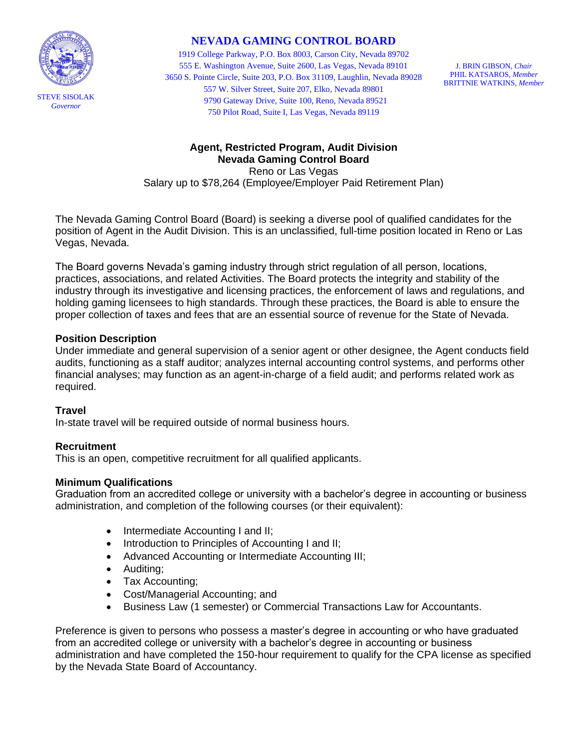

# **NEVADA GAMING CONTROL BOARD**

1919 College Parkway, P.O. Box 8003, Carson City, Nevada 89702 555 E. Washington Avenue, Suite 2600, Las Vegas, Nevada 89101 3650 S. Pointe Circle, Suite 203, P.O. Box 31109, Laughlin, Nevada 89028 557 W. Silver Street, Suite 207, Elko, Nevada 89801 9790 Gateway Drive, Suite 100, Reno, Nevada 89521 750 Pilot Road, Suite I, Las Vegas, Nevada 89119

J. BRIN GIBSON, *Chair* PHIL KATSAROS, *Member* BRITTNIE WATKINS, *Member*

## **Agent, Restricted Program, Audit Division Nevada Gaming Control Board**

Reno or Las Vegas Salary up to \$78,264 (Employee/Employer Paid Retirement Plan)

The Nevada Gaming Control Board (Board) is seeking a diverse pool of qualified candidates for the position of Agent in the Audit Division. This is an unclassified, full-time position located in Reno or Las Vegas, Nevada.

The Board governs Nevada's gaming industry through strict regulation of all person, locations, practices, associations, and related Activities. The Board protects the integrity and stability of the industry through its investigative and licensing practices, the enforcement of laws and regulations, and holding gaming licensees to high standards. Through these practices, the Board is able to ensure the proper collection of taxes and fees that are an essential source of revenue for the State of Nevada.

## **Position Description**

Under immediate and general supervision of a senior agent or other designee, the Agent conducts field audits, functioning as a staff auditor; analyzes internal accounting control systems, and performs other financial analyses; may function as an agent-in-charge of a field audit; and performs related work as required.

## **Travel**

In-state travel will be required outside of normal business hours.

# **Recruitment**

This is an open, competitive recruitment for all qualified applicants.

# **Minimum Qualifications**

Graduation from an accredited college or university with a bachelor's degree in accounting or business administration, and completion of the following courses (or their equivalent):

- Intermediate Accounting I and II;
- Introduction to Principles of Accounting I and II;
- Advanced Accounting or Intermediate Accounting III;
- Auditing;
- Tax Accounting;
- Cost/Managerial Accounting; and
- Business Law (1 semester) or Commercial Transactions Law for Accountants.

Preference is given to persons who possess a master's degree in accounting or who have graduated from an accredited college or university with a bachelor's degree in accounting or business administration and have completed the 150-hour requirement to qualify for the CPA license as specified by the Nevada State Board of Accountancy.